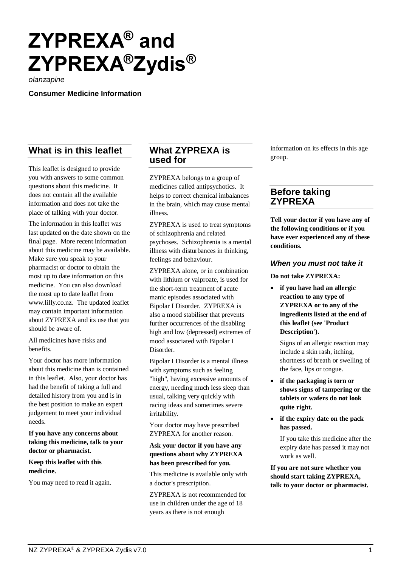# **ZYPREXA® and ZYPREXA®Zydis®**

*olanzapine*

**Consumer Medicine Information**

# **What is in this leaflet**

This leaflet is designed to provide you with answers to some common questions about this medicine. It does not contain all the available information and does not take the place of talking with your doctor.

The information in this leaflet was last updated on the date shown on the final page. More recent information about this medicine may be available. Make sure you speak to your pharmacist or doctor to obtain the most up to date information on this medicine. You can also download the most up to date leaflet from [www.lilly.co.nz.](http://www.lilly.co.nz/) The updated leaflet may contain important information about ZYPREXA and its use that you should be aware of.

All medicines have risks and benefits.

Your doctor has more information about this medicine than is contained in this leaflet. Also, your doctor has had the benefit of taking a full and detailed history from you and is in the best position to make an expert judgement to meet your individual needs.

**If you have any concerns about taking this medicine, talk to your doctor or pharmacist.**

#### **Keep this leaflet with this medicine.**

You may need to read it again.

## **What ZYPREXA is used for**

ZYPREXA belongs to a group of medicines called antipsychotics. It helps to correct chemical imbalances in the brain, which may cause mental illness.

ZYPREXA is used to treat symptoms of schizophrenia and related psychoses. Schizophrenia is a mental illness with disturbances in thinking, feelings and behaviour.

ZYPREXA alone, or in combination with lithium or valproate, is used for the short-term treatment of acute manic episodes associated with Bipolar I Disorder. ZYPREXA is also a mood stabiliser that prevents further occurrences of the disabling high and low (depressed) extremes of mood associated with Bipolar I Disorder.

Bipolar I Disorder is a mental illness with symptoms such as feeling "high", having excessive amounts of energy, needing much less sleep than usual, talking very quickly with racing ideas and sometimes severe irritability.

Your doctor may have prescribed ZYPREXA for another reason.

#### **Ask your doctor if you have any questions about why ZYPREXA has been prescribed for you.**

This medicine is available only with a doctor's prescription.

ZYPREXA is not recommended for use in children under the age of 18 years as there is not enough

information on its effects in this age group.

# **Before taking ZYPREXA**

**Tell your doctor if you have any of the following conditions or if you have ever experienced any of these conditions.**

#### *When you must not take it*

**Do not take ZYPREXA:**

• **if you have had an allergic reaction to any type of ZYPREXA or to any of the ingredients listed at the end of this leaflet (see 'Product Description').**

Signs of an allergic reaction may include a skin rash, itching, shortness of breath or swelling of the face, lips or tongue.

- **if the packaging is torn or shows signs of tampering or the tablets or wafers do not look quite right.**
- **if the expiry date on the pack has passed.**

If you take this medicine after the expiry date has passed it may not work as well.

**If you are not sure whether you should start taking ZYPREXA, talk to your doctor or pharmacist.**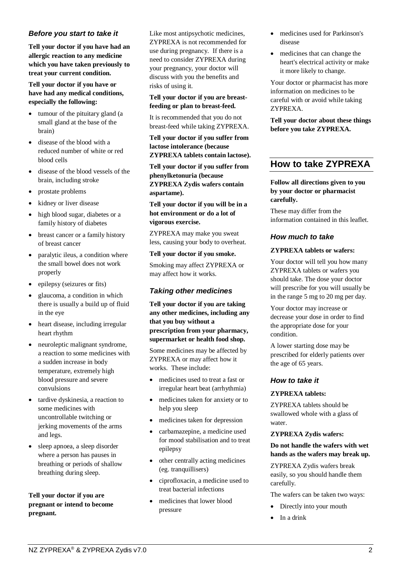#### *Before you start to take it*

**Tell your doctor if you have had an allergic reaction to any medicine which you have taken previously to treat your current condition.**

**Tell your doctor if you have or have had any medical conditions, especially the following:**

- tumour of the pituitary gland (a small gland at the base of the brain)
- disease of the blood with a reduced number of white or red blood cells
- disease of the blood vessels of the brain, including stroke
- prostate problems
- kidney or liver disease
- high blood sugar, diabetes or a family history of diabetes
- breast cancer or a family history of breast cancer
- paralytic ileus, a condition where the small bowel does not work properly
- epilepsy (seizures or fits)
- glaucoma, a condition in which there is usually a build up of fluid in the eye
- heart disease, including irregular heart rhythm
- neuroleptic malignant syndrome, a reaction to some medicines with a sudden increase in body temperature, extremely high blood pressure and severe convulsions
- tardive dyskinesia, a reaction to some medicines with uncontrollable twitching or jerking movements of the arms and legs.
- sleep apnoea, a sleep disorder where a person has pauses in breathing or periods of shallow breathing during sleep.

#### **Tell your doctor if you are pregnant or intend to become pregnant.**

Like most antipsychotic medicines, ZYPREXA is not recommended for use during pregnancy. If there is a need to consider ZYPREXA during your pregnancy, your doctor will discuss with you the benefits and risks of using it.

**Tell your doctor if you are breastfeeding or plan to breast-feed.**

It is recommended that you do not breast-feed while taking ZYPREXA.

**Tell your doctor if you suffer from lactose intolerance (because ZYPREXA tablets contain lactose).**

**Tell your doctor if you suffer from phenylketonuria (because ZYPREXA Zydis wafers contain aspartame).**

#### **Tell your doctor if you will be in a hot environment or do a lot of vigorous exercise.**

ZYPREXA may make you sweat less, causing your body to overheat.

**Tell your doctor if you smoke.**

Smoking may affect ZYPREXA or may affect how it works.

## *Taking other medicines*

**Tell your doctor if you are taking any other medicines, including any that you buy without a prescription from your pharmacy, supermarket or health food shop.**

Some medicines may be affected by ZYPREXA or may affect how it works. These include:

- medicines used to treat a fast or irregular heart beat (arrhythmia)
- medicines taken for anxiety or to help you sleep
- medicines taken for depression
- carbamazepine, a medicine used for mood stabilisation and to treat epilepsy
- other centrally acting medicines (eg. tranquillisers)
- ciprofloxacin, a medicine used to treat bacterial infections
- medicines that lower blood pressure
- medicines used for Parkinson's disease
- medicines that can change the heart's electrical activity or make it more likely to change.

Your doctor or pharmacist has more information on medicines to be careful with or avoid while taking ZYPREXA.

**Tell your doctor about these things before you take ZYPREXA.**

# **How to take ZYPREXA**

**Follow all directions given to you by your doctor or pharmacist carefully.**

These may differ from the information contained in this leaflet.

## *How much to take*

#### **ZYPREXA tablets or wafers:**

Your doctor will tell you how many ZYPREXA tablets or wafers you should take. The dose your doctor will prescribe for you will usually be in the range 5 mg to 20 mg per day.

Your doctor may increase or decrease your dose in order to find the appropriate dose for your condition.

A lower starting dose may be prescribed for elderly patients over the age of 65 years.

#### *How to take it*

#### **ZYPREXA tablets:**

ZYPREXA tablets should be swallowed whole with a glass of water.

#### **ZYPREXA Zydis wafers:**

**Do not handle the wafers with wet hands as the wafers may break up.**

ZYPREXA Zydis wafers break easily, so you should handle them carefully.

The wafers can be taken two ways:

- Directly into your mouth
- In a drink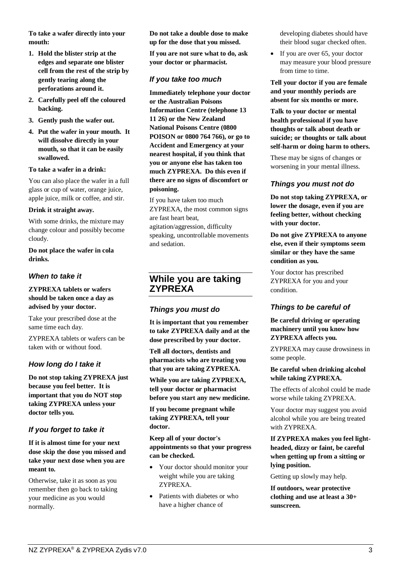**To take a wafer directly into your mouth:** 

- **1. Hold the blister strip at the edges and separate one blister cell from the rest of the strip by gently tearing along the perforations around it.**
- **2. Carefully peel off the coloured backing.**
- **3. Gently push the wafer out.**
- **4. Put the wafer in your mouth. It will dissolve directly in your mouth, so that it can be easily swallowed.**

#### **To take a wafer in a drink:**

You can also place the wafer in a full glass or cup of water, orange juice, apple juice, milk or coffee, and stir.

#### **Drink it straight away.**

With some drinks, the mixture may change colour and possibly become cloudy.

**Do not place the wafer in cola drinks.**

## *When to take it*

**ZYPREXA tablets or wafers should be taken once a day as advised by your doctor.**

Take your prescribed dose at the same time each day.

ZYPREXA tablets or wafers can be taken with or without food.

## *How long do I take it*

**Do not stop taking ZYPREXA just because you feel better. It is important that you do NOT stop taking ZYPREXA unless your doctor tells you.**

## *If you forget to take it*

**If it is almost time for your next dose skip the dose you missed and take your next dose when you are meant to.**

Otherwise, take it as soon as you remember then go back to taking your medicine as you would normally.

**Do not take a double dose to make up for the dose that you missed.**

**If you are not sure what to do, ask your doctor or pharmacist.**

## *If you take too much*

**Immediately telephone your doctor or the Australian Poisons Information Centre (telephone 13 11 26) or the New Zealand National Poisons Centre (0800 POISON or 0800 764 766), or go to Accident and Emergency at your nearest hospital, if you think that you or anyone else has taken too much ZYPREXA. Do this even if there are no signs of discomfort or poisoning.**

If you have taken too much ZYPREXA, the most common signs are fast heart beat, agitation/aggression, difficulty speaking, uncontrollable movements and sedation.

## **While you are taking ZYPREXA**

## *Things you must do*

**It is important that you remember to take ZYPREXA daily and at the dose prescribed by your doctor.**

**Tell all doctors, dentists and pharmacists who are treating you that you are taking ZYPREXA.**

**While you are taking ZYPREXA, tell your doctor or pharmacist before you start any new medicine.**

**If you become pregnant while taking ZYPREXA, tell your doctor.**

**Keep all of your doctor's appointments so that your progress can be checked.**

- Your doctor should monitor your weight while you are taking ZYPREXA.
- Patients with diabetes or who have a higher chance of

developing diabetes should have their blood sugar checked often.

• If you are over 65, your doctor may measure your blood pressure from time to time.

**Tell your doctor if you are female and your monthly periods are absent for six months or more.**

**Talk to your doctor or mental health professional if you have thoughts or talk about death or suicide; or thoughts or talk about self-harm or doing harm to others.**

These may be signs of changes or worsening in your mental illness.

## *Things you must not do*

**Do not stop taking ZYPREXA, or lower the dosage, even if you are feeling better, without checking with your doctor.**

**Do not give ZYPREXA to anyone else, even if their symptoms seem similar or they have the same condition as you.**

Your doctor has prescribed ZYPREXA for you and your condition.

## *Things to be careful of*

**Be careful driving or operating machinery until you know how ZYPREXA affects you.**

ZYPREXA may cause drowsiness in some people.

#### **Be careful when drinking alcohol while taking ZYPREXA.**

The effects of alcohol could be made worse while taking ZYPREXA.

Your doctor may suggest you avoid alcohol while you are being treated with ZYPREXA.

**If ZYPREXA makes you feel lightheaded, dizzy or faint, be careful when getting up from a sitting or lying position.**

Getting up slowly may help.

**If outdoors, wear protective clothing and use at least a 30+ sunscreen.**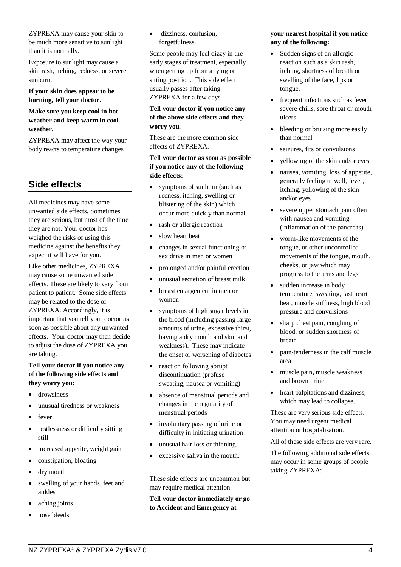ZYPREXA may cause your skin to be much more sensitive to sunlight than it is normally.

Exposure to sunlight may cause a skin rash, itching, redness, or severe sunburn.

**If your skin does appear to be burning, tell your doctor.**

#### **Make sure you keep cool in hot weather and keep warm in cool weather.**

ZYPREXA may affect the way your body reacts to temperature changes

## **Side effects**

All medicines may have some unwanted side effects. Sometimes they are serious, but most of the time they are not. Your doctor has weighed the risks of using this medicine against the benefits they expect it will have for you.

Like other medicines, ZYPREXA may cause some unwanted side effects. These are likely to vary from patient to patient. Some side effects may be related to the dose of ZYPREXA. Accordingly, it is important that you tell your doctor as soon as possible about any unwanted effects. Your doctor may then decide to adjust the dose of ZYPREXA you are taking.

#### **Tell your doctor if you notice any of the following side effects and they worry you:**

- drowsiness
- unusual tiredness or weakness
- fever
- restlessness or difficulty sitting still
- increased appetite, weight gain
- constipation, bloating
- dry mouth
- swelling of your hands, feet and ankles
- aching joints
- nose bleeds

dizziness, confusion, forgetfulness.

Some people may feel dizzy in the early stages of treatment, especially when getting up from a lying or sitting position. This side effect usually passes after taking ZYPREXA for a few days.

#### **Tell your doctor if you notice any of the above side effects and they worry you.**

These are the more common side effects of ZYPREXA.

**Tell your doctor as soon as possible if you notice any of the following side effects:**

- symptoms of sunburn (such as redness, itching, swelling or blistering of the skin) which occur more quickly than normal
- rash or allergic reaction
- slow heart beat
- changes in sexual functioning or sex drive in men or women
- prolonged and/or painful erection
- unusual secretion of breast milk
- breast enlargement in men or women
- symptoms of high sugar levels in the blood (including passing large amounts of urine, excessive thirst, having a dry mouth and skin and weakness). These may indicate the onset or worsening of diabetes
- reaction following abrupt discontinuation (profuse sweating, nausea or vomiting)
- absence of menstrual periods and changes in the regularity of menstrual periods
- involuntary passing of urine or difficulty in initiating urination
- unusual hair loss or thinning.
- excessive saliva in the mouth.

These side effects are uncommon but may require medical attention.

**Tell your doctor immediately or go to Accident and Emergency at** 

#### **your nearest hospital if you notice any of the following:**

- Sudden signs of an allergic reaction such as a skin rash, itching, shortness of breath or swelling of the face, lips or tongue.
- frequent infections such as fever, severe chills, sore throat or mouth ulcers
- bleeding or bruising more easily than normal
- seizures, fits or convulsions
- yellowing of the skin and/or eyes
- nausea, vomiting, loss of appetite, generally feeling unwell, fever, itching, yellowing of the skin and/or eyes
- severe upper stomach pain often with nausea and vomiting (inflammation of the pancreas)
- worm-like movements of the tongue, or other uncontrolled movements of the tongue, mouth, cheeks, or jaw which may progress to the arms and legs
- sudden increase in body temperature, sweating, fast heart beat, muscle stiffness, high blood pressure and convulsions
- sharp chest pain, coughing of blood, or sudden shortness of breath
- pain/tenderness in the calf muscle area
- muscle pain, muscle weakness and brown urine
- heart palpitations and dizziness, which may lead to collapse.

These are very serious side effects. You may need urgent medical attention or hospitalisation.

All of these side effects are very rare.

The following additional side effects may occur in some groups of people taking ZYPREXA: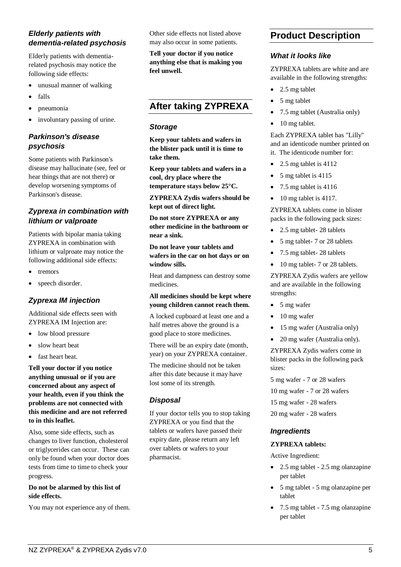## *Elderly patients with dementia-related psychosis*

Elderly patients with dementiarelated psychosis may notice the following side effects:

- unusual manner of walking
- falls
- pneumonia
- involuntary passing of urine.

## *Parkinson's disease psychosis*

Some patients with Parkinson's disease may hallucinate (see, feel or hear things that are not there) or develop worsening symptoms of Parkinson's disease.

## *Zyprexa in combination with lithium or valproate*

Patients with bipolar mania taking ZYPREXA in combination with lithium or valproate may notice the following additional side effects:

- **tremors**
- speech disorder.

## *Zyprexa IM injection*

Additional side effects seen with ZYPREXA IM Injection are:

- low blood pressure
- slow heart beat
- fast heart beat.

**Tell your doctor if you notice anything unusual or if you are concerned about any aspect of your health, even if you think the problems are not connected with this medicine and are not referred to in this leaflet.**

Also, some side effects, such as changes to liver function, cholesterol or triglycerides can occur. These can only be found when your doctor does tests from time to time to check your progress.

#### **Do not be alarmed by this list of side effects.**

You may not experience any of them.

Other side effects not listed above may also occur in some patients.

**Tell your doctor if you notice anything else that is making you feel unwell.**

# **After taking ZYPREXA**

#### *Storage*

**Keep your tablets and wafers in the blister pack until it is time to take them.**

**Keep your tablets and wafers in a cool, dry place where the temperature stays below 25°C.**

**ZYPREXA Zydis wafers should be kept out of direct light.**

**Do not store ZYPREXA or any other medicine in the bathroom or near a sink.**

**Do not leave your tablets and wafers in the car on hot days or on window sills.**

Heat and dampness can destroy some medicines.

#### **All medicines should be kept where young children cannot reach them.**

A locked cupboard at least one and a half metres above the ground is a good place to store medicines.

There will be an expiry date (month, year) on your ZYPREXA container.

The medicine should not be taken after this date because it may have lost some of its strength.

#### *Disposal*

If your doctor tells you to stop taking ZYPREXA or you find that the tablets or wafers have passed their expiry date, please return any left over tablets or wafers to your pharmacist.

# **Product Description**

#### *What it looks like*

ZYPREXA tablets are white and are available in the following strengths:

- 2.5 mg tablet
- 5 mg tablet
- 7.5 mg tablet (Australia only)
- 10 mg tablet.

Each ZYPREXA tablet has "Lilly" and an identicode number printed on it. The identicode number for:

- 2.5 mg tablet is 4112
- 5 mg tablet is 4115
- 7.5 mg tablet is 4116
- $\bullet$  10 mg tablet is 4117.

ZYPREXA tablets come in blister packs in the following pack sizes:

- 2.5 mg tablet- 28 tablets
- 5 mg tablet- 7 or 28 tablets
- 7.5 mg tablet-28 tablets
- 10 mg tablet- 7 or 28 tablets.

ZYPREXA Zydis wafers are yellow and are available in the following strengths:

- 5 mg wafer
- 10 mg wafer
- 15 mg wafer (Australia only)
- 20 mg wafer (Australia only).

ZYPREXA Zydis wafers come in blister packs in the following pack sizes:

5 mg wafer - 7 or 28 wafers

10 mg wafer - 7 or 28 wafers

15 mg wafer - 28 wafers

20 mg wafer - 28 wafers

#### *Ingredients*

#### **ZYPREXA tablets:**

Active Ingredient:

- 2.5 mg tablet 2.5 mg olanzapine per tablet
- 5 mg tablet 5 mg olanzapine per tablet
- 7.5 mg tablet 7.5 mg olanzapine per tablet